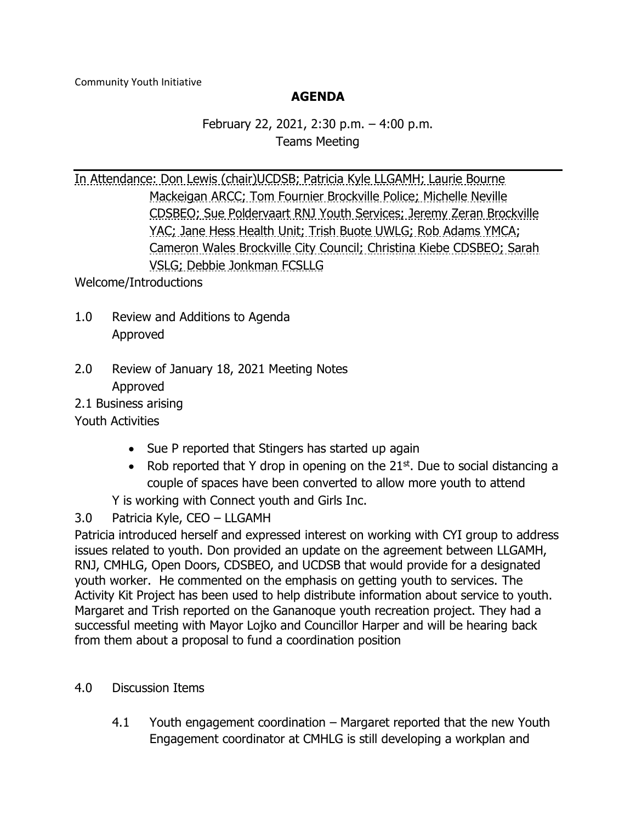## **AGENDA**

February 22, 2021, 2:30 p.m. – 4:00 p.m. Teams Meeting

In Attendance: Don Lewis (chair)UCDSB; Patricia Kyle LLGAMH; Laurie Bourne Mackeigan ARCC; Tom Fournier Brockville Police; Michelle Neville CDSBEO; Sue Poldervaart RNJ Youth Services; Jeremy Zeran Brockville YAC; Jane Hess Health Unit; Trish Buote UWLG; Rob Adams YMCA; Cameron Wales Brockville City Council; Christina Kiebe CDSBEO; Sarah VSLG; Debbie Jonkman FCSLLG

Welcome/Introductions

- 1.0 Review and Additions to Agenda Approved
- 2.0 Review of January 18, 2021 Meeting Notes Approved

2.1 Business arising

Youth Activities

- Sue P reported that Stingers has started up again
- Rob reported that Y drop in opening on the  $21^{st}$ . Due to social distancing a couple of spaces have been converted to allow more youth to attend
- Y is working with Connect youth and Girls Inc.
- 3.0 Patricia Kyle, CEO LLGAMH

Patricia introduced herself and expressed interest on working with CYI group to address issues related to youth. Don provided an update on the agreement between LLGAMH, RNJ, CMHLG, Open Doors, CDSBEO, and UCDSB that would provide for a designated youth worker. He commented on the emphasis on getting youth to services. The Activity Kit Project has been used to help distribute information about service to youth. Margaret and Trish reported on the Gananoque youth recreation project. They had a successful meeting with Mayor Lojko and Councillor Harper and will be hearing back from them about a proposal to fund a coordination position

## 4.0 Discussion Items

4.1 Youth engagement coordination – Margaret reported that the new Youth Engagement coordinator at CMHLG is still developing a workplan and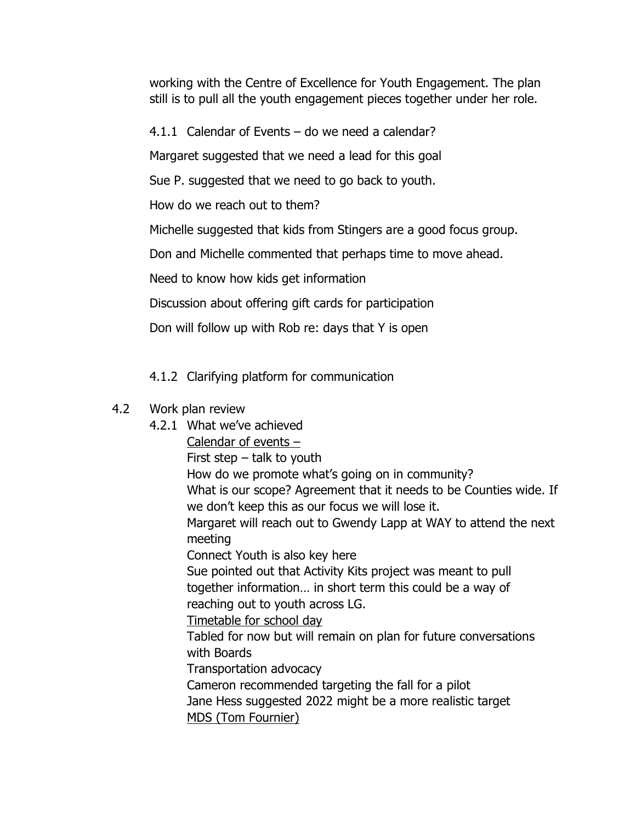working with the Centre of Excellence for Youth Engagement. The plan still is to pull all the youth engagement pieces together under her role.

4.1.1 Calendar of Events – do we need a calendar?

Margaret suggested that we need a lead for this goal

Sue P. suggested that we need to go back to youth.

How do we reach out to them?

Michelle suggested that kids from Stingers are a good focus group.

Don and Michelle commented that perhaps time to move ahead.

Need to know how kids get information

Discussion about offering gift cards for participation

Don will follow up with Rob re: days that Y is open

## 4.1.2 Clarifying platform for communication

## 4.2 Work plan review

4.2.1 What we've achieved Calendar of events – First step – talk to youth How do we promote what's going on in community? What is our scope? Agreement that it needs to be Counties wide. If we don't keep this as our focus we will lose it. Margaret will reach out to Gwendy Lapp at WAY to attend the next meeting Connect Youth is also key here Sue pointed out that Activity Kits project was meant to pull together information… in short term this could be a way of reaching out to youth across LG. Timetable for school day Tabled for now but will remain on plan for future conversations with Boards Transportation advocacy Cameron recommended targeting the fall for a pilot Jane Hess suggested 2022 might be a more realistic target MDS (Tom Fournier)